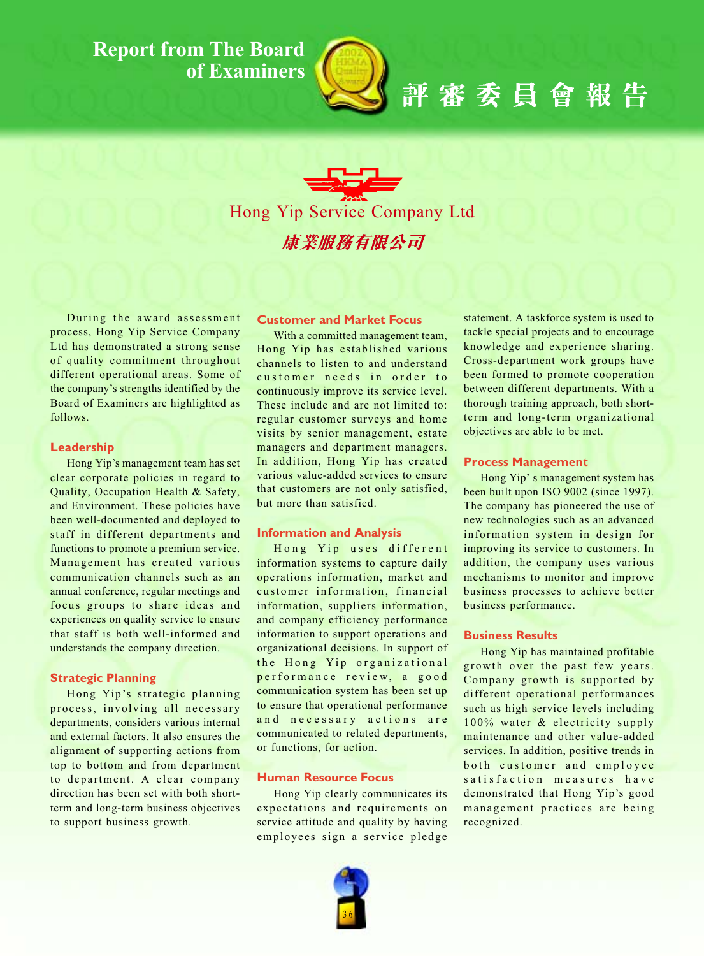# **Report from The Board** of Examiners



評審委員會報告

Hong Yip Service Company Ltd 康業服務有限公司

During the award assessment process, Hong Yip Service Company Ltd has demonstrated a strong sense of quality commitment throughout different operational areas. Some of the company's strengths identified by the Board of Examiners are highlighted as follows.

## Leadership

Hong Yip's management team has set clear corporate policies in regard to Quality, Occupation Health & Safety, and Environment. These policies have been well-documented and deployed to staff in different departments and functions to promote a premium service. Management has created various communication channels such as an annual conference, regular meetings and focus groups to share ideas and experiences on quality service to ensure that staff is both well-informed and understands the company direction.

## **Strategic Planning**

Hong Yip's strategic planning process, involving all necessary departments, considers various internal and external factors. It also ensures the alignment of supporting actions from top to bottom and from department to department. A clear company direction has been set with both shortterm and long-term business objectives to support business growth.

# **Customer and Market Focus**

With a committed management team, Hong Yip has established various channels to listen to and understand customer needs in order to continuously improve its service level. These include and are not limited to: regular customer surveys and home visits by senior management, estate managers and department managers. In addition, Hong Yip has created various value-added services to ensure that customers are not only satisfied, but more than satisfied.

### **Information and Analysis**

Hong Yip uses different information systems to capture daily operations information, market and customer information, financial information, suppliers information, and company efficiency performance information to support operations and organizational decisions. In support of the Hong Yip organizational performance review, a good communication system has been set up to ensure that operational performance and necessary actions are communicated to related departments, or functions, for action.

# **Human Resource Focus**

Hong Yip clearly communicates its expectations and requirements on service attitude and quality by having employees sign a service pledge

statement. A taskforce system is used to tackle special projects and to encourage knowledge and experience sharing. Cross-department work groups have been formed to promote cooperation between different departments. With a thorough training approach, both shortterm and long-term organizational objectives are able to be met.

### **Process Management**

Hong Yip's management system has been built upon ISO 9002 (since 1997). The company has pioneered the use of new technologies such as an advanced information system in design for improving its service to customers. In addition, the company uses various mechanisms to monitor and improve business processes to achieve better business performance.

### **Business Results**

Hong Yip has maintained profitable growth over the past few years. Company growth is supported by different operational performances such as high service levels including 100% water & electricity supply maintenance and other value-added services. In addition, positive trends in both customer and employee satisfaction measures have demonstrated that Hong Yip's good management practices are being recognized.